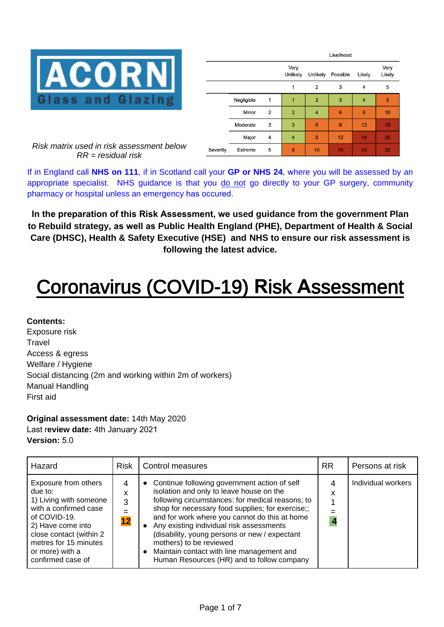

|          |            |                | Likelihood       |                 |          |        |                |
|----------|------------|----------------|------------------|-----------------|----------|--------|----------------|
|          |            |                | Very<br>Unlikely | Unlikely        | Possible | Likely | Very<br>Likely |
|          |            |                | 1                | $\overline{2}$  | 3        | 4      | 5              |
|          | Negligible | 1              | 1                | $\overline{2}$  | 3        | 4      | 5              |
|          | Minor      | $\overline{2}$ | $\overline{2}$   | 4               | 6        | 8      | 10             |
|          | Moderate   | 3              | 3                | $6\phantom{1}6$ | 9        | 12     | 15             |
|          | Major      | 4              | $\overline{4}$   | 8               | 12       | 16     | 20             |
| Severity | Extreme    | 5              | 5                | 10              | 15       | 20     | 25             |

*Risk matrix used in risk assessment below RR = residual risk* 

If in England call **NHS on 111**, if in Scotland call your **GP or NHS 24**, where you will be assessed by an appropriate specialist. NHS guidance is that you do not go directly to your GP surgery, community pharmacy or hospital unless an emergency has occured.

**In the preparation of this Risk Assessment, we used guidance from the government Plan to Rebuild strategy, as well as Public Health England (PHE), Department of Health & Social Care (DHSC), Health & Safety Executive (HSE) and NHS to ensure our risk assessment is [following the latest advice.](https://www.handshq.com/ppc/construction/?utm_source=covid-template)** 

# Coronavirus (COVID-19) **R**isk **A**ssessment

### **Contents:**

Exposure risk **Travel** Access & egress Welfare / Hygiene Social distancing (2m and working within 2m of workers) Manual Handling First aid

### **Original assessment date:** 14th May 2020 Last r**eview date:** 4th January 2021 **Version:** 5.0

| Hazard                                                                                                                                                                                                              | <b>Risk</b>       | Control measures                                                                                                                                                                                                                                                                                                                                                                                                                                                                               | <b>RR</b> | Persons at risk    |
|---------------------------------------------------------------------------------------------------------------------------------------------------------------------------------------------------------------------|-------------------|------------------------------------------------------------------------------------------------------------------------------------------------------------------------------------------------------------------------------------------------------------------------------------------------------------------------------------------------------------------------------------------------------------------------------------------------------------------------------------------------|-----------|--------------------|
| Exposure from others<br>due to:<br>1) Living with someone<br>with a confirmed case<br>of COVID-19.<br>2) Have come into<br>close contact (within 2<br>metres for 15 minutes<br>or more) with a<br>confirmed case of | 4<br>x<br>3<br>12 | Continue following government action of self<br>$\bullet$<br>isolation and only to leave house on the<br>following circumstances: for medical reasons; to<br>shop for necessary food supplies; for exercise;;<br>and for work where you cannot do this at home<br>Any existing individual risk assessments<br>(disability, young persons or new / expectant<br>mothers) to be reviewed<br>Maintain contact with line management and<br>$\bullet$<br>Human Resources (HR) and to follow company | 4<br>X    | Individual workers |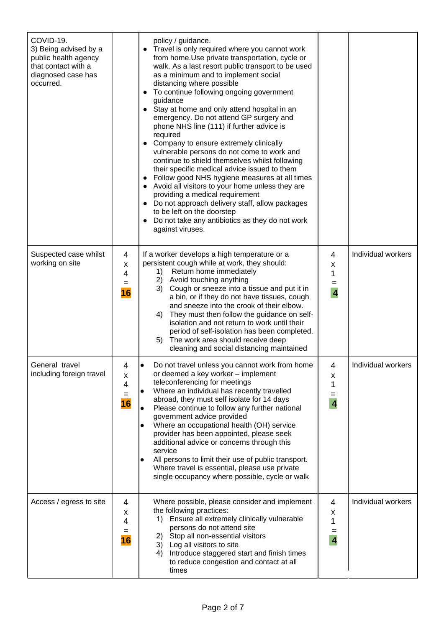| COVID-19.<br>3) Being advised by a<br>public health agency<br>that contact with a<br>diagnosed case has<br>occurred. |                          | policy / guidance.<br>Travel is only required where you cannot work<br>$\bullet$<br>from home. Use private transportation, cycle or<br>walk. As a last resort public transport to be used<br>as a minimum and to implement social<br>distancing where possible<br>To continue following ongoing government<br>guidance<br>Stay at home and only attend hospital in an<br>$\bullet$<br>emergency. Do not attend GP surgery and<br>phone NHS line (111) if further advice is<br>required<br>Company to ensure extremely clinically<br>vulnerable persons do not come to work and<br>continue to shield themselves whilst following<br>their specific medical advice issued to them<br>Follow good NHS hygiene measures at all times<br>Avoid all visitors to your home unless they are<br>providing a medical requirement<br>Do not approach delivery staff, allow packages<br>to be left on the doorstep<br>Do not take any antibiotics as they do not work<br>against viruses. |                                      |                    |
|----------------------------------------------------------------------------------------------------------------------|--------------------------|--------------------------------------------------------------------------------------------------------------------------------------------------------------------------------------------------------------------------------------------------------------------------------------------------------------------------------------------------------------------------------------------------------------------------------------------------------------------------------------------------------------------------------------------------------------------------------------------------------------------------------------------------------------------------------------------------------------------------------------------------------------------------------------------------------------------------------------------------------------------------------------------------------------------------------------------------------------------------------|--------------------------------------|--------------------|
| Suspected case whilst<br>working on site                                                                             | 4<br>X<br>4<br>$=$<br>16 | If a worker develops a high temperature or a<br>persistent cough while at work, they should:<br>Return home immediately<br>1)<br>2) Avoid touching anything<br>3) Cough or sneeze into a tissue and put it in<br>a bin, or if they do not have tissues, cough<br>and sneeze into the crook of their elbow.<br>They must then follow the guidance on self-<br>4)<br>isolation and not return to work until their<br>period of self-isolation has been completed.<br>The work area should receive deep<br>5)<br>cleaning and social distancing maintained                                                                                                                                                                                                                                                                                                                                                                                                                        | 4<br>X<br>1<br>$\overline{4}$        | Individual workers |
| General travel<br>including foreign travel                                                                           | 4<br>X<br>4<br>$=$<br>16 | Do not travel unless you cannot work from home<br>or deemed a key worker - implement<br>teleconferencing for meetings<br>Where an individual has recently travelled<br>abroad, they must self isolate for 14 days<br>Please continue to follow any further national<br>government advice provided<br>Where an occupational health (OH) service<br>provider has been appointed, please seek<br>additional advice or concerns through this<br>service<br>All persons to limit their use of public transport.<br>$\bullet$<br>Where travel is essential, please use private<br>single occupancy where possible, cycle or walk                                                                                                                                                                                                                                                                                                                                                     | 4<br>X<br>1<br>$=$<br>$\overline{4}$ | Individual workers |
| Access / egress to site                                                                                              | 4<br>X<br>4<br>=<br>16   | Where possible, please consider and implement<br>the following practices:<br>1) Ensure all extremely clinically vulnerable<br>persons do not attend site<br>2) Stop all non-essential visitors<br>3) Log all visitors to site<br>Introduce staggered start and finish times<br>4)<br>to reduce congestion and contact at all<br>times                                                                                                                                                                                                                                                                                                                                                                                                                                                                                                                                                                                                                                          | 4<br>X<br>1<br>=<br>$\overline{4}$   | Individual workers |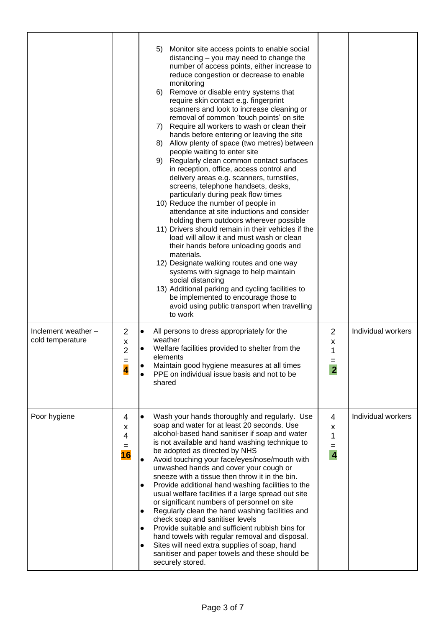|                                         |                                      | Monitor site access points to enable social<br>5)<br>distancing - you may need to change the<br>number of access points, either increase to<br>reduce congestion or decrease to enable<br>monitoring<br>Remove or disable entry systems that<br>6)<br>require skin contact e.g. fingerprint<br>scanners and look to increase cleaning or<br>removal of common 'touch points' on site<br>7) Require all workers to wash or clean their<br>hands before entering or leaving the site<br>8) Allow plenty of space (two metres) between<br>people waiting to enter site<br>9) Regularly clean common contact surfaces<br>in reception, office, access control and<br>delivery areas e.g. scanners, turnstiles,<br>screens, telephone handsets, desks,<br>particularly during peak flow times<br>10) Reduce the number of people in<br>attendance at site inductions and consider<br>holding them outdoors wherever possible<br>11) Drivers should remain in their vehicles if the<br>load will allow it and must wash or clean<br>their hands before unloading goods and<br>materials.<br>12) Designate walking routes and one way<br>systems with signage to help maintain<br>social distancing<br>13) Additional parking and cycling facilities to<br>be implemented to encourage those to<br>avoid using public transport when travelling<br>to work |                                                 |                    |
|-----------------------------------------|--------------------------------------|-----------------------------------------------------------------------------------------------------------------------------------------------------------------------------------------------------------------------------------------------------------------------------------------------------------------------------------------------------------------------------------------------------------------------------------------------------------------------------------------------------------------------------------------------------------------------------------------------------------------------------------------------------------------------------------------------------------------------------------------------------------------------------------------------------------------------------------------------------------------------------------------------------------------------------------------------------------------------------------------------------------------------------------------------------------------------------------------------------------------------------------------------------------------------------------------------------------------------------------------------------------------------------------------------------------------------------------------------------|-------------------------------------------------|--------------------|
| Inclement weather -<br>cold temperature | 2<br>X<br>$\overline{2}$<br>$=$<br>4 | All persons to dress appropriately for the<br>lo<br>weather<br>Welfare facilities provided to shelter from the<br>elements<br>Maintain good hygiene measures at all times<br>PPE on individual issue basis and not to be<br>shared                                                                                                                                                                                                                                                                                                                                                                                                                                                                                                                                                                                                                                                                                                                                                                                                                                                                                                                                                                                                                                                                                                                  | $\overline{2}$<br>x<br>1<br>$=$<br>$\mathbf{2}$ | Individual workers |
| Poor hygiene                            | 4<br>x<br>4<br>$=$<br>16             | Wash your hands thoroughly and regularly. Use<br>$\bullet$<br>soap and water for at least 20 seconds. Use<br>alcohol-based hand sanitiser if soap and water<br>is not available and hand washing technique to<br>be adopted as directed by NHS<br>Avoid touching your face/eyes/nose/mouth with<br>unwashed hands and cover your cough or<br>sneeze with a tissue then throw it in the bin.<br>Provide additional hand washing facilities to the<br>$\bullet$<br>usual welfare facilities if a large spread out site<br>or significant numbers of personnel on site<br>Regularly clean the hand washing facilities and<br>$\bullet$<br>check soap and sanitiser levels<br>Provide suitable and sufficient rubbish bins for<br>hand towels with regular removal and disposal.<br>Sites will need extra supplies of soap, hand<br>sanitiser and paper towels and these should be<br>securely stored.                                                                                                                                                                                                                                                                                                                                                                                                                                                  | 4<br>x<br>1<br>$=$<br>$\overline{4}$            | Individual workers |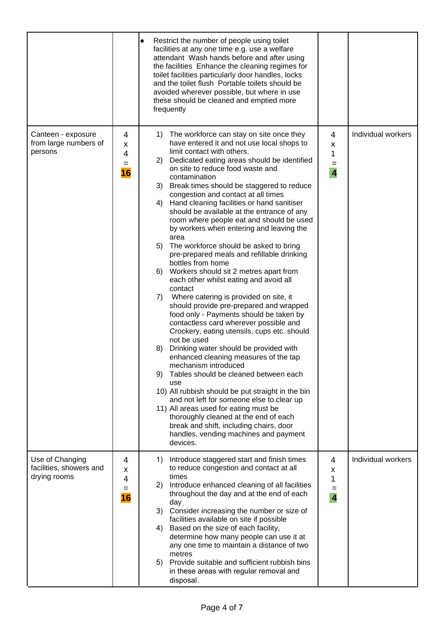|                                                            |                          | Restrict the number of people using toilet<br>$\bullet$<br>facilities at any one time e.g. use a welfare<br>attendant Wash hands before and after using<br>the facilities Enhance the cleaning regimes for<br>toilet facilities particularly door handles, locks<br>and the toilet flush Portable toilets should be<br>avoided wherever possible, but where in use<br>these should be cleaned and emptied more<br>frequently                                                                                                                                                                                                                                                                                                                                                                                                                                                                                                                                                                                                                                                                                                                                                                                                                                                                                                                                                                                                                          |                                               |                    |
|------------------------------------------------------------|--------------------------|-------------------------------------------------------------------------------------------------------------------------------------------------------------------------------------------------------------------------------------------------------------------------------------------------------------------------------------------------------------------------------------------------------------------------------------------------------------------------------------------------------------------------------------------------------------------------------------------------------------------------------------------------------------------------------------------------------------------------------------------------------------------------------------------------------------------------------------------------------------------------------------------------------------------------------------------------------------------------------------------------------------------------------------------------------------------------------------------------------------------------------------------------------------------------------------------------------------------------------------------------------------------------------------------------------------------------------------------------------------------------------------------------------------------------------------------------------|-----------------------------------------------|--------------------|
| Canteen - exposure<br>from large numbers of<br>persons     | 4<br>x<br>4<br>$=$<br>16 | 1) The workforce can stay on site once they<br>have entered it and not use local shops to<br>limit contact with others.<br>Dedicated eating areas should be identified<br>2)<br>on site to reduce food waste and<br>contamination<br>3) Break times should be staggered to reduce<br>congestion and contact at all times<br>Hand cleaning facilities or hand sanitiser<br>4)<br>should be available at the entrance of any<br>room where people eat and should be used<br>by workers when entering and leaving the<br>area<br>5) The workforce should be asked to bring<br>pre-prepared meals and refillable drinking<br>bottles from home<br>6) Workers should sit 2 metres apart from<br>each other whilst eating and avoid all<br>contact<br>Where catering is provided on site, it<br>7)<br>should provide pre-prepared and wrapped<br>food only - Payments should be taken by<br>contactless card wherever possible and<br>Crockery, eating utensils, cups etc. should<br>not be used<br>Drinking water should be provided with<br>8)<br>enhanced cleaning measures of the tap<br>mechanism introduced<br>Tables should be cleaned between each<br>9)<br>use<br>10) All rubbish should be put straight in the bin<br>and not left for someone else to clear up<br>11) All areas used for eating must be<br>thoroughly cleaned at the end of each<br>break and shift, including chairs, door<br>handles, vending machines and payment<br>devices. | 4<br>X<br>1<br>$=$<br>$\overline{\mathbf{4}}$ | Individual workers |
| Use of Changing<br>facilities, showers and<br>drying rooms | 4<br>x<br>4<br>=<br>16   | Introduce staggered start and finish times<br>1)<br>to reduce congestion and contact at all<br>times<br>2) Introduce enhanced cleaning of all facilities<br>throughout the day and at the end of each<br>day<br>3) Consider increasing the number or size of<br>facilities available on site if possible<br>Based on the size of each facility,<br>4)<br>determine how many people can use it at<br>any one time to maintain a distance of two<br>metres<br>5) Provide suitable and sufficient rubbish bins<br>in these areas with regular removal and<br>disposal.                                                                                                                                                                                                                                                                                                                                                                                                                                                                                                                                                                                                                                                                                                                                                                                                                                                                                   | 4<br>x<br>1<br>$=$<br>$\overline{\mathbf{4}}$ | Individual workers |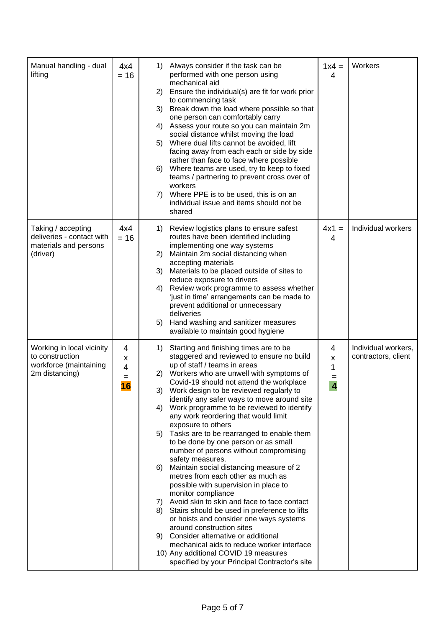| Manual handling - dual<br>lifting                                                        | 4x4<br>$= 16$          | Always consider if the task can be<br>1)<br>performed with one person using<br>mechanical aid<br>Ensure the individual(s) are fit for work prior<br>2)<br>to commencing task<br>3) Break down the load where possible so that<br>one person can comfortably carry<br>Assess your route so you can maintain 2m<br>4)<br>social distance whilst moving the load<br>5) Where dual lifts cannot be avoided, lift<br>facing away from each each or side by side<br>rather than face to face where possible<br>Where teams are used, try to keep to fixed<br>6)<br>teams / partnering to prevent cross over of<br>workers<br>Where PPE is to be used, this is on an<br>7)<br>individual issue and items should not be<br>shared                                                                                                                                                                                                                                                                                                                                                                              | $1x4 =$<br>4                           | Workers                                    |
|------------------------------------------------------------------------------------------|------------------------|--------------------------------------------------------------------------------------------------------------------------------------------------------------------------------------------------------------------------------------------------------------------------------------------------------------------------------------------------------------------------------------------------------------------------------------------------------------------------------------------------------------------------------------------------------------------------------------------------------------------------------------------------------------------------------------------------------------------------------------------------------------------------------------------------------------------------------------------------------------------------------------------------------------------------------------------------------------------------------------------------------------------------------------------------------------------------------------------------------|----------------------------------------|--------------------------------------------|
| Taking / accepting<br>deliveries - contact with<br>materials and persons<br>(driver)     | 4x4<br>$= 16$          | Review logistics plans to ensure safest<br>1)<br>routes have been identified including<br>implementing one way systems<br>Maintain 2m social distancing when<br>2)<br>accepting materials<br>3)<br>Materials to be placed outside of sites to<br>reduce exposure to drivers<br>Review work programme to assess whether<br>4)<br>'just in time' arrangements can be made to<br>prevent additional or unnecessary<br>deliveries<br>Hand washing and sanitizer measures<br>5)<br>available to maintain good hygiene                                                                                                                                                                                                                                                                                                                                                                                                                                                                                                                                                                                       | $4x1 =$<br>4                           | Individual workers                         |
| Working in local vicinity<br>to construction<br>workforce (maintaining<br>2m distancing) | 4<br>x<br>4<br>=<br>16 | Starting and finishing times are to be<br>1)<br>staggered and reviewed to ensure no build<br>up of staff / teams in areas<br>2) Workers who are unwell with symptoms of<br>Covid-19 should not attend the workplace<br>3) Work design to be reviewed regularly to<br>identify any safer ways to move around site<br>4) Work programme to be reviewed to identify<br>any work reordering that would limit<br>exposure to others<br>5) Tasks are to be rearranged to enable them<br>to be done by one person or as small<br>number of persons without compromising<br>safety measures.<br>Maintain social distancing measure of 2<br>6)<br>metres from each other as much as<br>possible with supervision in place to<br>monitor compliance<br>7) Avoid skin to skin and face to face contact<br>8) Stairs should be used in preference to lifts<br>or hoists and consider one ways systems<br>around construction sites<br>9) Consider alternative or additional<br>mechanical aids to reduce worker interface<br>10) Any additional COVID 19 measures<br>specified by your Principal Contractor's site | 4<br>X<br>1<br>$\overline{\mathbf{4}}$ | Individual workers,<br>contractors, client |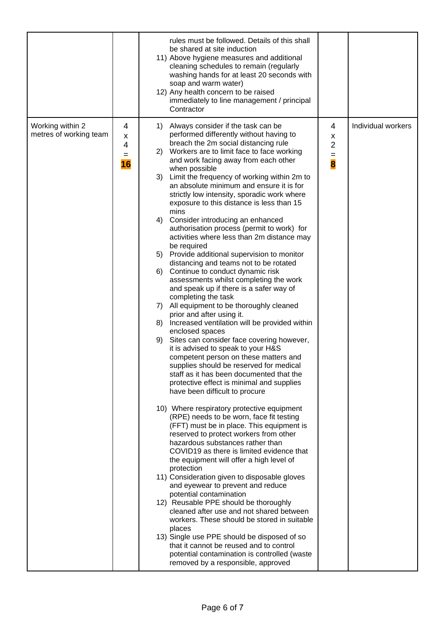|                                            |                          | rules must be followed. Details of this shall<br>be shared at site induction<br>11) Above hygiene measures and additional<br>cleaning schedules to remain (regularly<br>washing hands for at least 20 seconds with<br>soap and warm water)<br>12) Any health concern to be raised<br>immediately to line management / principal<br>Contractor                                                                                                                                                                                                                                                                                                                                                                                                                                                                                                                                                                                                                                                                                                                                                                                                                                                                                                                                                                                                                                                                                                                                                                                                                                                                                                                                                                                                                                                                                                                                                                                                                                                                                                                                                 |                                                             |                    |
|--------------------------------------------|--------------------------|-----------------------------------------------------------------------------------------------------------------------------------------------------------------------------------------------------------------------------------------------------------------------------------------------------------------------------------------------------------------------------------------------------------------------------------------------------------------------------------------------------------------------------------------------------------------------------------------------------------------------------------------------------------------------------------------------------------------------------------------------------------------------------------------------------------------------------------------------------------------------------------------------------------------------------------------------------------------------------------------------------------------------------------------------------------------------------------------------------------------------------------------------------------------------------------------------------------------------------------------------------------------------------------------------------------------------------------------------------------------------------------------------------------------------------------------------------------------------------------------------------------------------------------------------------------------------------------------------------------------------------------------------------------------------------------------------------------------------------------------------------------------------------------------------------------------------------------------------------------------------------------------------------------------------------------------------------------------------------------------------------------------------------------------------------------------------------------------------|-------------------------------------------------------------|--------------------|
| Working within 2<br>metres of working team | 4<br>х<br>4<br>$=$<br>16 | Always consider if the task can be<br>1)<br>performed differently without having to<br>breach the 2m social distancing rule<br>Workers are to limit face to face working<br>2)<br>and work facing away from each other<br>when possible<br>Limit the frequency of working within 2m to<br>3)<br>an absolute minimum and ensure it is for<br>strictly low intensity, sporadic work where<br>exposure to this distance is less than 15<br>mins<br>Consider introducing an enhanced<br>4)<br>authorisation process (permit to work) for<br>activities where less than 2m distance may<br>be required<br>Provide additional supervision to monitor<br>5)<br>distancing and teams not to be rotated<br>Continue to conduct dynamic risk<br>6)<br>assessments whilst completing the work<br>and speak up if there is a safer way of<br>completing the task<br>All equipment to be thoroughly cleaned<br>7)<br>prior and after using it.<br>Increased ventilation will be provided within<br>8)<br>enclosed spaces<br>Sites can consider face covering however,<br>9)<br>it is advised to speak to your H&S<br>competent person on these matters and<br>supplies should be reserved for medical<br>staff as it has been documented that the<br>protective effect is minimal and supplies<br>have been difficult to procure<br>10) Where respiratory protective equipment<br>(RPE) needs to be worn, face fit testing<br>(FFT) must be in place. This equipment is<br>reserved to protect workers from other<br>hazardous substances rather than<br>COVID19 as there is limited evidence that<br>the equipment will offer a high level of<br>protection<br>11) Consideration given to disposable gloves<br>and eyewear to prevent and reduce<br>potential contamination<br>12) Reusable PPE should be thoroughly<br>cleaned after use and not shared between<br>workers. These should be stored in suitable<br>places<br>13) Single use PPE should be disposed of so<br>that it cannot be reused and to control<br>potential contamination is controlled (waste<br>removed by a responsible, approved | 4<br>X<br>$\overline{\mathbf{c}}$<br>$\frac{1}{\mathbf{8}}$ | Individual workers |